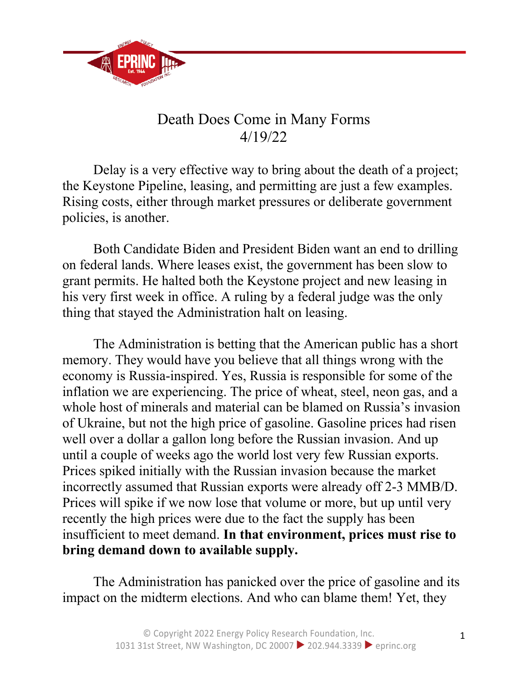

## Death Does Come in Many Forms 4/19/22

Delay is a very effective way to bring about the death of a project; the Keystone Pipeline, leasing, and permitting are just a few examples. Rising costs, either through market pressures or deliberate government policies, is another.

Both Candidate Biden and President Biden want an end to drilling on federal lands. Where leases exist, the government has been slow to grant permits. He halted both the Keystone project and new leasing in his very first week in office. A ruling by a federal judge was the only thing that stayed the Administration halt on leasing.

The Administration is betting that the American public has a short memory. They would have you believe that all things wrong with the economy is Russia-inspired. Yes, Russia is responsible for some of the inflation we are experiencing. The price of wheat, steel, neon gas, and a whole host of minerals and material can be blamed on Russia's invasion of Ukraine, but not the high price of gasoline. Gasoline prices had risen well over a dollar a gallon long before the Russian invasion. And up until a couple of weeks ago the world lost very few Russian exports. Prices spiked initially with the Russian invasion because the market incorrectly assumed that Russian exports were already off 2-3 MMB/D. Prices will spike if we now lose that volume or more, but up until very recently the high prices were due to the fact the supply has been insufficient to meet demand. **In that environment, prices must rise to bring demand down to available supply.**

The Administration has panicked over the price of gasoline and its impact on the midterm elections. And who can blame them! Yet, they